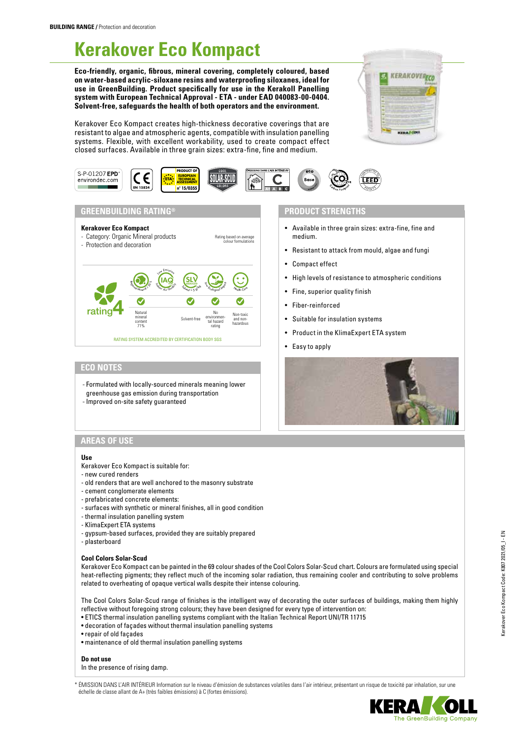# **Kerakover Eco Kompact**

**Eco-friendly, organic, fibrous, mineral covering, completely coloured, based on water-based acrylic-siloxane resins and waterproofing siloxanes, ideal for use in GreenBuilding. Product specifically for use in the Kerakoll Panelling system with European Technical Approval - ETA - under EAD 040083-00-0404. Solvent-free, safeguards the health of both operators and the environment.**

Kerakover Eco Kompact creates high-thickness decorative coverings that are resistant to algae and atmospheric agents, compatible with insulation panelling systems. Flexible, with excellent workability, used to create compact effect closed surfaces. Available in three grain sizes: extra-fine, fine and medium.





# **GREENBUILDING RATING® PRODUCT STRENGTHS**



# **ECO NOTES**

- Formulated with locally-sourced minerals meaning lower greenhouse gas emission during transportation
- Improved on-site safety guaranteed

- Available in three grain sizes: extra-fine, fine and medium.
- Resistant to attack from mould, algae and fungi
- Compact effect
- High levels of resistance to atmospheric conditions
- Fine, superior quality finish
- Fiber-reinforced
- Suitable for insulation systems
- Product in the KlimaExpert ETA system
- Easy to apply



# **AREAS OF USE**

### **Use**

- Kerakover Eco Kompact is suitable for:
- new cured renders
- old renders that are well anchored to the masonry substrate
- cement conglomerate elements
- prefabricated concrete elements:
- surfaces with synthetic or mineral finishes, all in good condition
- thermal insulation panelling system
- KlimaExpert ETA systems
- gypsum-based surfaces, provided they are suitably prepared
- plasterboard

#### **Cool Colors Solar-Scud**

Kerakover Eco Kompact can be painted in the 69 colour shades of the Cool Colors Solar-Scud chart. Colours are formulated using special heat-reflecting pigments; they reflect much of the incoming solar radiation, thus remaining cooler and contributing to solve problems related to overheating of opaque vertical walls despite their intense colouring.

The Cool Colors Solar-Scud range of finishes is the intelligent way of decorating the outer surfaces of buildings, making them highly reflective without foregoing strong colours; they have been designed for every type of intervention on:

- ETICS thermal insulation panelling systems compliant with the Italian Technical Report UNI/TR 11715
- decoration of façades without thermal insulation panelling systems
- repair of old façades
- maintenance of old thermal insulation panelling systems

#### **Do not use**

In the presence of rising damp.

\* ÉMISSION DANS L'AIR INTÉRIEUR Information sur le niveau d'émission de substances volatiles dans l'air intérieur, présentant un risque de toxicité par inhalation, sur une échelle de classe allant de A+ (très faibles émissions) à C (fortes émissions).

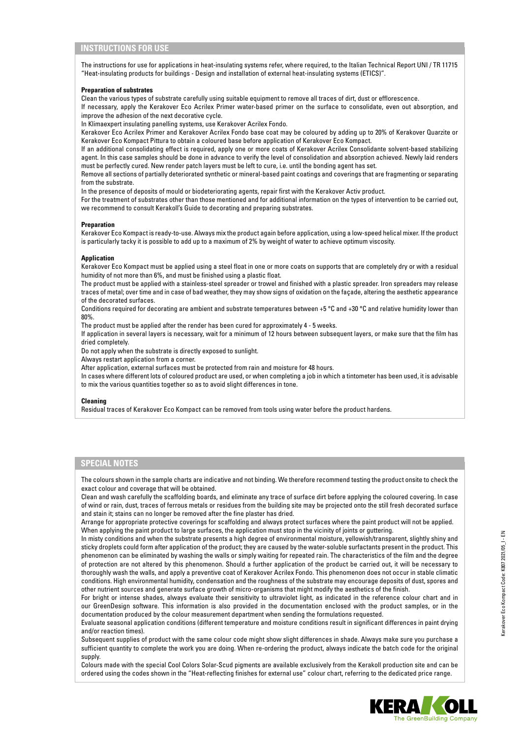# **INSTRUCTIONS FOR USE**

The instructions for use for applications in heat-insulating systems refer, where required, to the Italian Technical Report UNI / TR 11715 "Heat-insulating products for buildings - Design and installation of external heat-insulating systems (ETICS)".

#### **Preparation of substrates**

Clean the various types of substrate carefully using suitable equipment to remove all traces of dirt, dust or efflorescence. If necessary, apply the Kerakover Eco Acrilex Primer water-based primer on the surface to consolidate, even out absorption, and improve the adhesion of the next decorative cycle.

In Klimaexpert insulating panelling systems, use Kerakover Acrilex Fondo.

Kerakover Eco Acrilex Primer and Kerakover Acrilex Fondo base coat may be coloured by adding up to 20% of Kerakover Quarzite or Kerakover Eco Kompact Pittura to obtain a coloured base before application of Kerakover Eco Kompact.

If an additional consolidating effect is required, apply one or more coats of Kerakover Acrilex Consolidante solvent-based stabilizing agent. In this case samples should be done in advance to verify the level of consolidation and absorption achieved. Newly laid renders must be perfectly cured. New render patch layers must be left to cure, i.e. until the bonding agent has set.

Remove all sections of partially deteriorated synthetic or mineral-based paint coatings and coverings that are fragmenting or separating from the substrate.

In the presence of deposits of mould or biodeteriorating agents, repair first with the Kerakover Activ product.

For the treatment of substrates other than those mentioned and for additional information on the types of intervention to be carried out, we recommend to consult Kerakoll's Guide to decorating and preparing substrates.

#### **Preparation**

Kerakover Eco Kompact is ready-to-use. Always mix the product again before application, using a low-speed helical mixer. If the product is particularly tacky it is possible to add up to a maximum of 2% by weight of water to achieve optimum viscosity.

#### **Application**

Kerakover Eco Kompact must be applied using a steel float in one or more coats on supports that are completely dry or with a residual humidity of not more than 6%, and must be finished using a plastic float.

The product must be applied with a stainless-steel spreader or trowel and finished with a plastic spreader. Iron spreaders may release traces of metal; over time and in case of bad weather, they may show signs of oxidation on the façade, altering the aesthetic appearance of the decorated surfaces.

Conditions required for decorating are ambient and substrate temperatures between +5 °C and +30 °C and relative humidity lower than 80%.

The product must be applied after the render has been cured for approximately 4 - 5 weeks.

If application in several layers is necessary, wait for a minimum of 12 hours between subsequent layers, or make sure that the film has dried completely.

Do not apply when the substrate is directly exposed to sunlight.

Always restart application from a corner.

After application, external surfaces must be protected from rain and moisture for 48 hours.

In cases where different lots of coloured product are used, or when completing a job in which a tintometer has been used, it is advisable to mix the various quantities together so as to avoid slight differences in tone.

#### **Cleaning**

Residual traces of Kerakover Eco Kompact can be removed from tools using water before the product hardens.

# **SPECIAL NOTES**

The colours shown in the sample charts are indicative and not binding. We therefore recommend testing the product onsite to check the exact colour and coverage that will be obtained.

Clean and wash carefully the scaffolding boards, and eliminate any trace of surface dirt before applying the coloured covering. In case of wind or rain, dust, traces of ferrous metals or residues from the building site may be projected onto the still fresh decorated surface and stain it; stains can no longer be removed after the fine plaster has dried.

Arrange for appropriate protective coverings for scaffolding and always protect surfaces where the paint product will not be applied. When applying the paint product to large surfaces, the application must stop in the vicinity of joints or guttering.

In misty conditions and when the substrate presents a high degree of environmental moisture, yellowish/transparent, slightly shiny and sticky droplets could form after application of the product; they are caused by the water-soluble surfactants present in the product. This phenomenon can be eliminated by washing the walls or simply waiting for repeated rain. The characteristics of the film and the degree of protection are not altered by this phenomenon. Should a further application of the product be carried out, it will be necessary to thoroughly wash the walls, and apply a preventive coat of Kerakover Acrilex Fondo. This phenomenon does not occur in stable climatic conditions. High environmental humidity, condensation and the roughness of the substrate may encourage deposits of dust, spores and other nutrient sources and generate surface growth of micro-organisms that might modify the aesthetics of the finish.

For bright or intense shades, always evaluate their sensitivity to ultraviolet light, as indicated in the reference colour chart and in our GreenDesign software. This information is also provided in the documentation enclosed with the product samples, or in the documentation produced by the colour measurement department when sending the formulations requested.

Evaluate seasonal application conditions (different temperature and moisture conditions result in significant differences in paint drying and/or reaction times).

Subsequent supplies of product with the same colour code might show slight differences in shade. Always make sure you purchase a sufficient quantity to complete the work you are doing. When re-ordering the product, always indicate the batch code for the original supply.

Colours made with the special Cool Colors Solar-Scud pigments are available exclusively from the Kerakoll production site and can be ordered using the codes shown in the "Heat-reflecting finishes for external use" colour chart, referring to the dedicated price range.